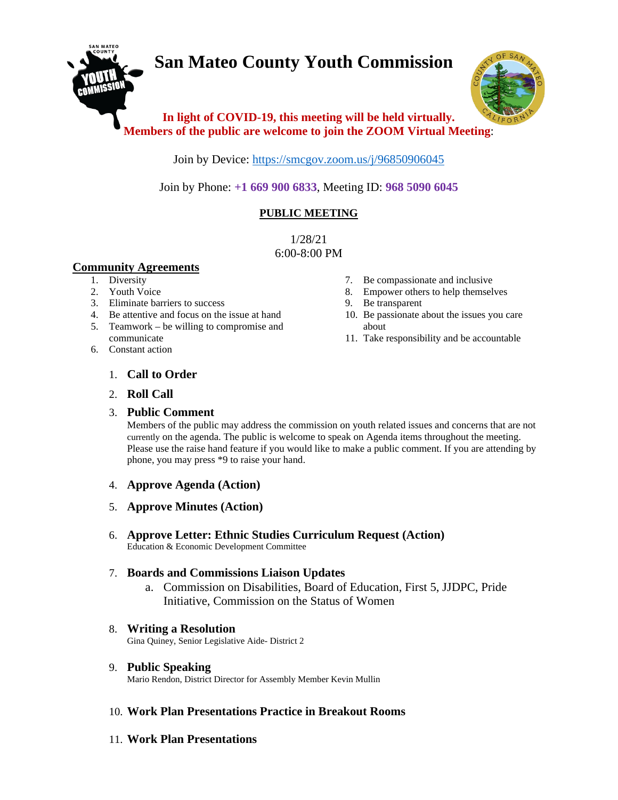# **San Mateo County Youth Commission**



# **In light of COVID-19, this meeting will be held virtually. Members of the public are welcome to join the ZOOM Virtual Meeting**:

Join by Device:<https://smcgov.zoom.us/j/96850906045>

Join by Phone: **+1 669 900 6833**, Meeting ID: **968 5090 6045**

## **PUBLIC MEETING**

1/28/21 6:00-8:00 PM

#### **Community Agreements**

- 1. Diversity
- 2. Youth Voice
- 3. Eliminate barriers to success
- 4. Be attentive and focus on the issue at hand
- 5. Teamwork be willing to compromise and communicate
- 6. Constant action
- 7. Be compassionate and inclusive
- 8. Empower others to help themselves
- 9. Be transparent
- 10. Be passionate about the issues you care about
- 11. Take responsibility and be accountable

- 1. **Call to Order**
- 2. **Roll Call**

## 3. **Public Comment**

Members of the public may address the commission on youth related issues and concerns that are not currently on the agenda. The public is welcome to speak on Agenda items throughout the meeting. Please use the raise hand feature if you would like to make a public comment. If you are attending by phone, you may press \*9 to raise your hand.

- 4. **Approve Agenda (Action)**
- 5. **Approve Minutes (Action)**
- 6. **Approve Letter: Ethnic Studies Curriculum Request (Action)** Education & Economic Development Committee

## 7. **Boards and Commissions Liaison Updates**

a. Commission on Disabilities, Board of Education, First 5, JJDPC, Pride Initiative, Commission on the Status of Women

## 8. **Writing a Resolution**

Gina Quiney, Senior Legislative Aide- District 2

## 9. **Public Speaking**

Mario Rendon, District Director for Assembly Member Kevin Mullin

## 10. **Work Plan Presentations Practice in Breakout Rooms**

11. **Work Plan Presentations**